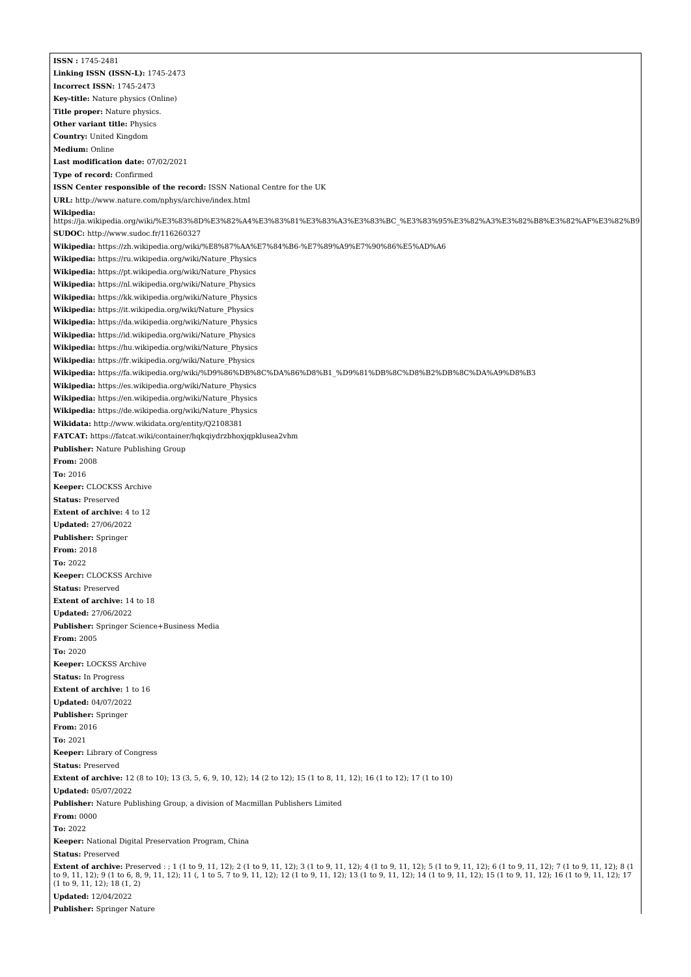**ISSN :** 1745-2481 **Linking ISSN (ISSN-L):** 1745-2473 **Incorrect ISSN:** 1745-2473 **Key-title:** Nature physics (Online) **Title proper:** Nature physics. **Other variant title:** Physics **Country:** United Kingdom **Medium:** Online **Last modification date:** 07/02/2021 **Type of record:** Confirmed **ISSN Center responsible of the record:** ISSN National Centre for the UK **URL:** <http://www.nature.com/nphys/archive/index.html> **Wikipedia:** [https://ja.wikipedia.org/wiki/%E3%83%8D%E3%82%A4%E3%83%81%E3%83%A3%E3%83%BC\\_%E3%83%95%E3%82%A3%E3%82%B8%E3%82%AF%E3%82%B9](https://ja.wikipedia.org/wiki/%E3%83%8D%E3%82%A4%E3%83%81%E3%83%A3%E3%83%BC_%E3%83%95%E3%82%A3%E3%82%B8%E3%82%AF%E3%82%B9) **SUDOC:** <http://www.sudoc.fr/116260327> **Wikipedia:** <https://zh.wikipedia.org/wiki/%E8%87%AA%E7%84%B6-%E7%89%A9%E7%90%86%E5%AD%A6> **Wikipedia:** [https://ru.wikipedia.org/wiki/Nature\\_Physics](https://ru.wikipedia.org/wiki/Nature_Physics) **Wikipedia:** [https://pt.wikipedia.org/wiki/Nature\\_Physics](https://pt.wikipedia.org/wiki/Nature_Physics) **Wikipedia:** [https://nl.wikipedia.org/wiki/Nature\\_Physics](https://nl.wikipedia.org/wiki/Nature_Physics) **Wikipedia:** [https://kk.wikipedia.org/wiki/Nature\\_Physics](https://kk.wikipedia.org/wiki/Nature_Physics) **Wikipedia:** [https://it.wikipedia.org/wiki/Nature\\_Physics](https://it.wikipedia.org/wiki/Nature_Physics) **Wikipedia:** [https://da.wikipedia.org/wiki/Nature\\_Physics](https://da.wikipedia.org/wiki/Nature_Physics) **Wikipedia:** [https://id.wikipedia.org/wiki/Nature\\_Physics](https://id.wikipedia.org/wiki/Nature_Physics) **Wikipedia:** [https://hu.wikipedia.org/wiki/Nature\\_Physics](https://hu.wikipedia.org/wiki/Nature_Physics) **Wikipedia:** [https://fr.wikipedia.org/wiki/Nature\\_Physics](https://fr.wikipedia.org/wiki/Nature_Physics) **Wikipedia:** [https://fa.wikipedia.org/wiki/%D9%86%DB%8C%DA%86%D8%B1\\_%D9%81%DB%8C%D8%B2%DB%8C%DA%A9%D8%B3](https://fa.wikipedia.org/wiki/%D9%86%DB%8C%DA%86%D8%B1_%D9%81%DB%8C%D8%B2%DB%8C%DA%A9%D8%B3) **Wikipedia:** [https://es.wikipedia.org/wiki/Nature\\_Physics](https://es.wikipedia.org/wiki/Nature_Physics) **Wikipedia:** [https://en.wikipedia.org/wiki/Nature\\_Physics](https://en.wikipedia.org/wiki/Nature_Physics) **Wikipedia:** [https://de.wikipedia.org/wiki/Nature\\_Physics](https://de.wikipedia.org/wiki/Nature_Physics) **Wikidata:** <http://www.wikidata.org/entity/Q2108381> **FATCAT:** <https://fatcat.wiki/container/hqkqiydrzbhoxjqpklusea2vhm> **Publisher:** Nature Publishing Group **From:** 2008 **To:** 2016 **Keeper:** CLOCKSS Archive **Status:** Preserved **Extent of archive:** 4 to 12 **Updated:** 27/06/2022 **Publisher:** Springer **From:** 2018 **To:** 2022 **Keeper:** CLOCKSS Archive **Status:** Preserved **Extent of archive:** 14 to 18 **Updated:** 27/06/2022 **Publisher:** Springer Science+Business Media **From:** 2005 **To:** 2020 **Keeper:** LOCKSS Archive **Status:** In Progress **Extent of archive:** 1 to 16 **Updated:** 04/07/2022 **Publisher:** Springer **From:** 2016 **To:** 2021 **Keeper:** Library of Congress **Status:** Preserved **Extent of archive:** 12 (8 to 10); 13 (3, 5, 6, 9, 10, 12); 14 (2 to 12); 15 (1 to 8, 11, 12); 16 (1 to 12); 17 (1 to 10) **Updated:** 05/07/2022 **Publisher:** Nature Publishing Group, a division of Macmillan Publishers Limited **From:** 0000 **To:** 2022 **Keeper:** National Digital Preservation Program, China **Status:** Preserved **Extent of archive:** Preserved : ; 1 (1 to 9, 11, 12); 2 (1 to 9, 11, 12); 3 (1 to 9, 11, 12); 4 (1 to 9, 11, 12); 5 (1 to 9, 11, 12); 6 (1 to 9, 11, 12); 7 (1 to 9, 11, 12); 8 (1 to 9, 11, 12); 9 (1 to 6, 8, 9, 11, 12); 11 (, 1 to 5, 7 to 9, 11, 12); 12 (1 to 9, 11, 12); 13 (1 to 9, 11, 12); 14 (1 to 9, 11, 12); 14 (1 to 9, 11, 12); 15 (1 to 9, 11, 12); 16 (1 to 9, 11, 12); 17 (1 to 9, 11, 12); 18 (1, 2) **Updated:** 12/04/2022 **Publisher:** Springer Nature